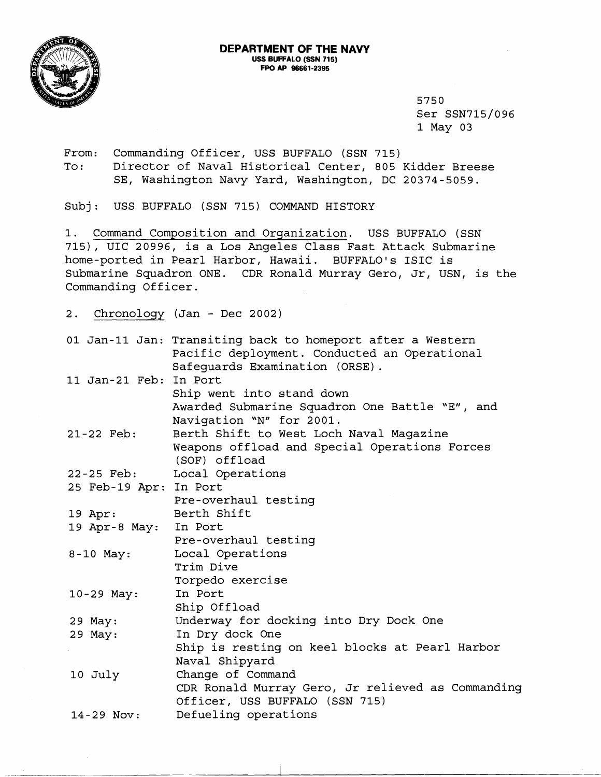

5750 Ser SSN715/096 1 May 03

From: Commanding Officer, USS BUFFALO (SSN 715) To: Director of Naval Historical Center, 805 Kidder Breese SE, Washington Navy Yard, Washington, DC 20374-5059.

Subj: USS BUFFALO (SSN 715) COMMAND HISTORY

1. Command Composition and Organization. USS BUFFALO (SSN 715), UIC 20996, is a Los Angeles Class Fast Attack Submarine home-ported in Pearl Harbor, Hawaii. BUFFALO'S ISIC is Submarine Squadron ONE. CDR Ronald Murray Gero, Jr, USN, is the Commanding Officer.

2. Chronology (Jan - Dec 2002)

| 01 Jan-11 Jan: Transiting back to homeport after a Western<br>Pacific deployment. Conducted an Operational |
|------------------------------------------------------------------------------------------------------------|
| Safequards Examination (ORSE).                                                                             |
| 11 Jan-21 Feb: In Port                                                                                     |
| Ship went into stand down                                                                                  |
| Awarded Submarine Squadron One Battle "E", and                                                             |
| Navigation "N" for 2001.                                                                                   |
| Berth Shift to West Loch Naval Magazine                                                                    |
| Weapons offload and Special Operations Forces                                                              |
| (SOF) offload                                                                                              |
| Local Operations                                                                                           |
| 25 Feb-19 Apr: In Port                                                                                     |
| Pre-overhaul testing                                                                                       |
| Berth Shift                                                                                                |
| 19 Apr-8 May: In Port                                                                                      |
| Pre-overhaul testing                                                                                       |
| Local Operations                                                                                           |
| Trim Dive                                                                                                  |
| Torpedo exercise                                                                                           |
| In Port                                                                                                    |
| Ship Offload                                                                                               |
| Underway for docking into Dry Dock One                                                                     |
| In Dry dock One                                                                                            |
| Ship is resting on keel blocks at Pearl Harbor                                                             |
| Naval Shipyard                                                                                             |
| Change of Command                                                                                          |
| CDR Ronald Murray Gero, Jr relieved as Commanding                                                          |
| Officer, USS BUFFALO (SSN 715)                                                                             |
| Defueling operations                                                                                       |
|                                                                                                            |